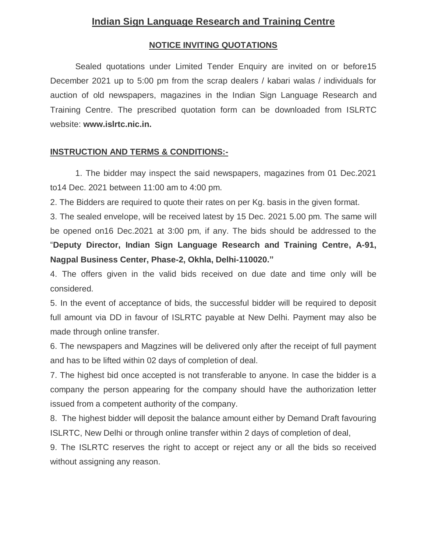## **Indian Sign Language Research and Training Centre**

#### **NOTICE INVITING QUOTATIONS**

Sealed quotations under Limited Tender Enquiry are invited on or before15 December 2021 up to 5:00 pm from the scrap dealers / kabari walas / individuals for auction of old newspapers, magazines in the Indian Sign Language Research and Training Centre. The prescribed quotation form can be downloaded from ISLRTC website: **www.islrtc.nic.in.**

#### **INSTRUCTION AND TERMS & CONDITIONS:-**

1. The bidder may inspect the said newspapers, magazines from 01 Dec.2021 to14 Dec. 2021 between 11:00 am to 4:00 pm.

2. The Bidders are required to quote their rates on per Kg. basis in the given format.

3. The sealed envelope, will be received latest by 15 Dec. 2021 5.00 pm. The same will be opened on16 Dec.2021 at 3:00 pm, if any. The bids should be addressed to the "**Deputy Director, Indian Sign Language Research and Training Centre, A-91, Nagpal Business Center, Phase-2, Okhla, Delhi-110020."** 

4. The offers given in the valid bids received on due date and time only will be considered.

5. In the event of acceptance of bids, the successful bidder will be required to deposit full amount via DD in favour of ISLRTC payable at New Delhi. Payment may also be made through online transfer.

6. The newspapers and Magzines will be delivered only after the receipt of full payment and has to be lifted within 02 days of completion of deal.

7. The highest bid once accepted is not transferable to anyone. In case the bidder is a company the person appearing for the company should have the authorization letter issued from a competent authority of the company.

8. The highest bidder will deposit the balance amount either by Demand Draft favouring ISLRTC, New Delhi or through online transfer within 2 days of completion of deal,

9. The ISLRTC reserves the right to accept or reject any or all the bids so received without assigning any reason.